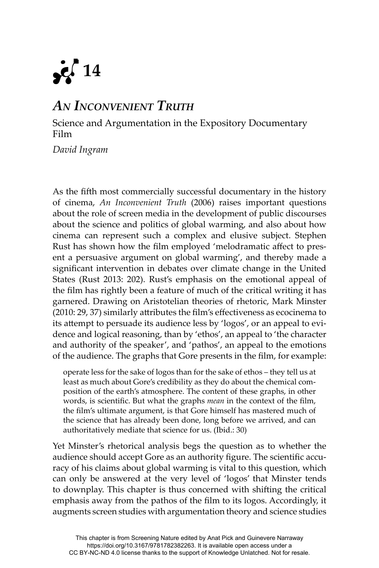## •**<sup>14</sup>**

## *An Inconvenient Truth*

Science and Argumentation in the Expository Documentary Film

*David Ingram*

As the fifth most commercially successful documentary in the history of cinema, *An Inconvenient Truth* (2006) raises important questions about the role of screen media in the development of public discourses about the science and politics of global warming, and also about how cinema can represent such a complex and elusive subject. Stephen Rust has shown how the film employed 'melodramatic affect to present a persuasive argument on global warming', and thereby made a significant intervention in debates over climate change in the United States (Rust 2013: 202). Rust's emphasis on the emotional appeal of the film has rightly been a feature of much of the critical writing it has garnered. Drawing on Aristotelian theories of rhetoric, Mark Minster (2010: 29, 37) similarly attributes the film's effectiveness as ecocinema to its attempt to persuade its audience less by 'logos', or an appeal to evidence and logical reasoning, than by 'ethos', an appeal to 'the character and authority of the speaker', and 'pathos', an appeal to the emotions of the audience. The graphs that Gore presents in the film, for example:

operate less for the sake of logos than for the sake of ethos – they tell us at least as much about Gore's credibility as they do about the chemical composition of the earth's atmosphere. The content of these graphs, in other words, is scientific. But what the graphs *mean* in the context of the film, the film's ultimate argument, is that Gore himself has mastered much of the science that has already been done, long before we arrived, and can authoritatively mediate that science for us. (Ibid.: 30)

Yet Minster's rhetorical analysis begs the question as to whether the audience should accept Gore as an authority figure. The scientific accuracy of his claims about global warming is vital to this question, which can only be answered at the very level of 'logos' that Minster tends to downplay. This chapter is thus concerned with shifting the critical emphasis away from the pathos of the film to its logos. Accordingly, it augments screen studies with argumentation theory and science studies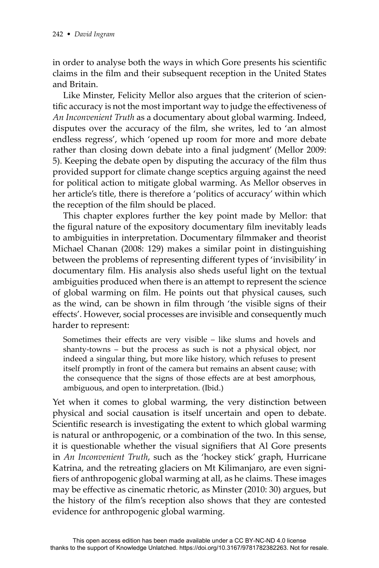in order to analyse both the ways in which Gore presents his scientific claims in the film and their subsequent reception in the United States and Britain.

Like Minster, Felicity Mellor also argues that the criterion of scientific accuracy is not the most important way to judge the effectiveness of *An Inconvenient Truth* as a documentary about global warming. Indeed, disputes over the accuracy of the film, she writes, led to 'an almost endless regress', which 'opened up room for more and more debate rather than closing down debate into a final judgment' (Mellor 2009: 5). Keeping the debate open by disputing the accuracy of the film thus provided support for climate change sceptics arguing against the need for political action to mitigate global warming. As Mellor observes in her article's title, there is therefore a 'politics of accuracy' within which the reception of the film should be placed.

This chapter explores further the key point made by Mellor: that the figural nature of the expository documentary film inevitably leads to ambiguities in interpretation. Documentary filmmaker and theorist Michael Chanan (2008: 129) makes a similar point in distinguishing between the problems of representing different types of 'invisibility' in documentary film. His analysis also sheds useful light on the textual ambiguities produced when there is an attempt to represent the science of global warming on film. He points out that physical causes, such as the wind, can be shown in film through 'the visible signs of their effects'. However, social processes are invisible and consequently much harder to represent:

Sometimes their effects are very visible – like slums and hovels and shanty-towns – but the process as such is not a physical object, nor indeed a singular thing, but more like history, which refuses to present itself promptly in front of the camera but remains an absent cause; with the consequence that the signs of those effects are at best amorphous, ambiguous, and open to interpretation. (Ibid.)

Yet when it comes to global warming, the very distinction between physical and social causation is itself uncertain and open to debate. Scientific research is investigating the extent to which global warming is natural or anthropogenic, or a combination of the two. In this sense, it is questionable whether the visual signifiers that Al Gore presents in *An Inconvenient Truth*, such as the 'hockey stick' graph, Hurricane Katrina, and the retreating glaciers on Mt Kilimanjaro, are even signifiers of anthropogenic global warming at all, as he claims. These images may be effective as cinematic rhetoric, as Minster (2010: 30) argues, but the history of the film's reception also shows that they are contested evidence for anthropogenic global warming.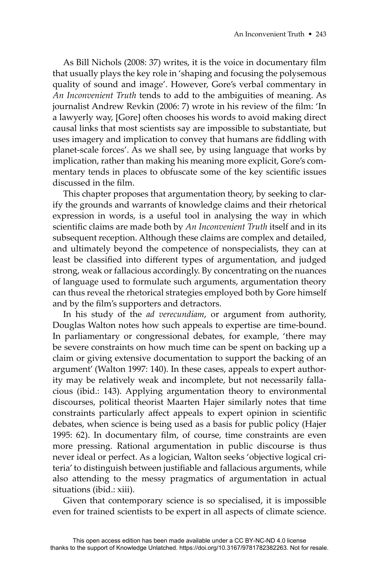As Bill Nichols (2008: 37) writes, it is the voice in documentary film that usually plays the key role in 'shaping and focusing the polysemous quality of sound and image'. However, Gore's verbal commentary in *An Inconvenient Truth* tends to add to the ambiguities of meaning. As journalist Andrew Revkin (2006: 7) wrote in his review of the film: 'In a lawyerly way, [Gore] often chooses his words to avoid making direct causal links that most scientists say are impossible to substantiate, but uses imagery and implication to convey that humans are fiddling with planet-scale forces'. As we shall see, by using language that works by implication, rather than making his meaning more explicit, Gore's commentary tends in places to obfuscate some of the key scientific issues discussed in the film.

This chapter proposes that argumentation theory, by seeking to clarify the grounds and warrants of knowledge claims and their rhetorical expression in words, is a useful tool in analysing the way in which scientific claims are made both by *An Inconvenient Truth* itself and in its subsequent reception. Although these claims are complex and detailed, and ultimately beyond the competence of nonspecialists, they can at least be classified into different types of argumentation, and judged strong, weak or fallacious accordingly. By concentrating on the nuances of language used to formulate such arguments, argumentation theory can thus reveal the rhetorical strategies employed both by Gore himself and by the film's supporters and detractors.

In his study of the *ad verecundiam*, or argument from authority, Douglas Walton notes how such appeals to expertise are time-bound. In parliamentary or congressional debates, for example, 'there may be severe constraints on how much time can be spent on backing up a claim or giving extensive documentation to support the backing of an argument' (Walton 1997: 140). In these cases, appeals to expert authority may be relatively weak and incomplete, but not necessarily fallacious (ibid.: 143). Applying argumentation theory to environmental discourses, political theorist Maarten Hajer similarly notes that time constraints particularly affect appeals to expert opinion in scientific debates, when science is being used as a basis for public policy (Hajer 1995: 62). In documentary film, of course, time constraints are even more pressing. Rational argumentation in public discourse is thus never ideal or perfect. As a logician, Walton seeks 'objective logical criteria' to distinguish between justifiable and fallacious arguments, while also attending to the messy pragmatics of argumentation in actual situations (ibid.: xiii).

Given that contemporary science is so specialised, it is impossible even for trained scientists to be expert in all aspects of climate science.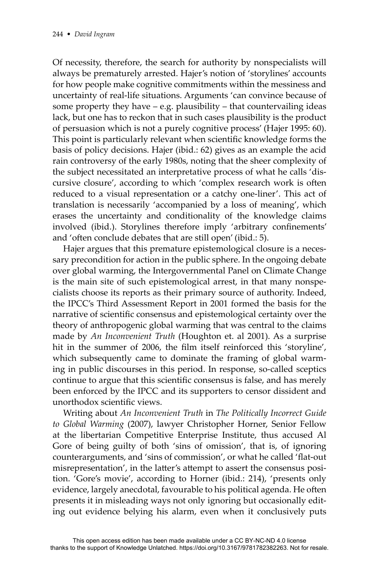Of necessity, therefore, the search for authority by nonspecialists will always be prematurely arrested. Hajer's notion of 'storylines' accounts for how people make cognitive commitments within the messiness and uncertainty of real-life situations. Arguments 'can convince because of some property they have – e.g. plausibility – that countervailing ideas lack, but one has to reckon that in such cases plausibility is the product of persuasion which is not a purely cognitive process' (Hajer 1995: 60). This point is particularly relevant when scientific knowledge forms the basis of policy decisions. Hajer (ibid.: 62) gives as an example the acid rain controversy of the early 1980s, noting that the sheer complexity of the subject necessitated an interpretative process of what he calls 'discursive closure', according to which 'complex research work is often reduced to a visual representation or a catchy one-liner'. This act of translation is necessarily 'accompanied by a loss of meaning', which erases the uncertainty and conditionality of the knowledge claims involved (ibid.). Storylines therefore imply 'arbitrary confinements' and 'often conclude debates that are still open' (ibid.: 5).

Hajer argues that this premature epistemological closure is a necessary precondition for action in the public sphere. In the ongoing debate over global warming, the Intergovernmental Panel on Climate Change is the main site of such epistemological arrest, in that many nonspecialists choose its reports as their primary source of authority. Indeed, the IPCC's Third Assessment Report in 2001 formed the basis for the narrative of scientific consensus and epistemological certainty over the theory of anthropogenic global warming that was central to the claims made by *An Inconvenient Truth* (Houghton et. al 2001). As a surprise hit in the summer of 2006, the film itself reinforced this 'storyline', which subsequently came to dominate the framing of global warming in public discourses in this period. In response, so-called sceptics continue to argue that this scientific consensus is false, and has merely been enforced by the IPCC and its supporters to censor dissident and unorthodox scientific views.

Writing about *An Inconvenient Truth* in *The Politically Incorrect Guide to Global Warming* (2007), lawyer Christopher Horner, Senior Fellow at the libertarian Competitive Enterprise Institute, thus accused Al Gore of being guilty of both 'sins of omission', that is, of ignoring counterarguments, and 'sins of commission', or what he called 'flat-out misrepresentation', in the latter's attempt to assert the consensus position. 'Gore's movie', according to Horner (ibid.: 214), 'presents only evidence, largely anecdotal, favourable to his political agenda. He often presents it in misleading ways not only ignoring but occasionally editing out evidence belying his alarm, even when it conclusively puts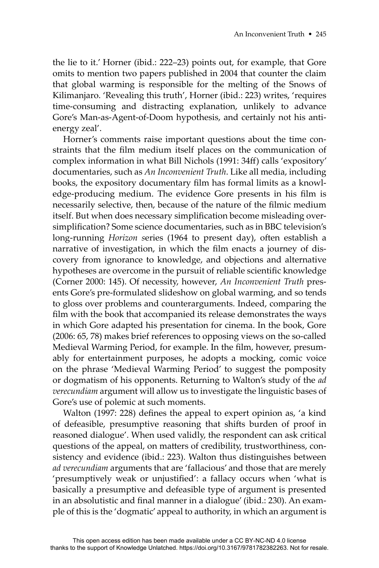the lie to it.' Horner (ibid.: 222–23) points out, for example, that Gore omits to mention two papers published in 2004 that counter the claim that global warming is responsible for the melting of the Snows of Kilimanjaro. 'Revealing this truth', Horner (ibid.: 223) writes, 'requires time-consuming and distracting explanation, unlikely to advance Gore's Man-as-Agent-of-Doom hypothesis, and certainly not his antienergy zeal'.

Horner's comments raise important questions about the time constraints that the film medium itself places on the communication of complex information in what Bill Nichols (1991: 34ff) calls 'expository' documentaries, such as *An Inconvenient Truth*. Like all media, including books, the expository documentary film has formal limits as a knowledge-producing medium. The evidence Gore presents in his film is necessarily selective, then, because of the nature of the filmic medium itself. But when does necessary simplification become misleading oversimplification? Some science documentaries, such as in BBC television's long-running *Horizon s*eries (1964 to present day), often establish a narrative of investigation, in which the film enacts a journey of discovery from ignorance to knowledge, and objections and alternative hypotheses are overcome in the pursuit of reliable scientific knowledge (Corner 2000: 145). Of necessity, however, *An Inconvenient Truth* presents Gore's pre-formulated slideshow on global warming, and so tends to gloss over problems and counterarguments. Indeed, comparing the film with the book that accompanied its release demonstrates the ways in which Gore adapted his presentation for cinema. In the book, Gore (2006: 65, 78) makes brief references to opposing views on the so-called Medieval Warming Period, for example. In the film, however, presumably for entertainment purposes, he adopts a mocking, comic voice on the phrase 'Medieval Warming Period' to suggest the pomposity or dogmatism of his opponents. Returning to Walton's study of the *ad verecundiam* argument will allow us to investigate the linguistic bases of Gore's use of polemic at such moments.

Walton (1997: 228) defines the appeal to expert opinion as, 'a kind of defeasible, presumptive reasoning that shifts burden of proof in reasoned dialogue'. When used validly, the respondent can ask critical questions of the appeal, on matters of credibility, trustworthiness, consistency and evidence (ibid.: 223). Walton thus distinguishes between *ad verecundiam* arguments that are 'fallacious' and those that are merely 'presumptively weak or unjustified': a fallacy occurs when 'what is basically a presumptive and defeasible type of argument is presented in an absolutistic and final manner in a dialogue' (ibid.: 230). An example of this is the 'dogmatic' appeal to authority, in which an argument is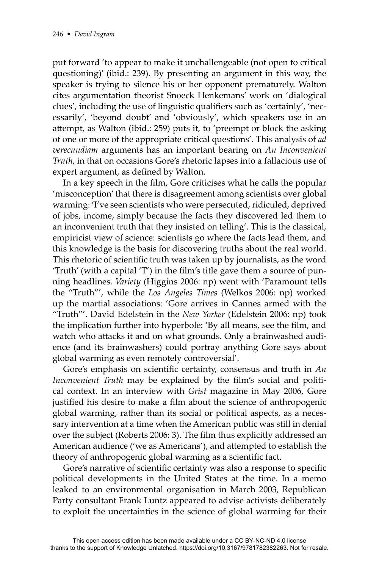put forward 'to appear to make it unchallengeable (not open to critical questioning)' (ibid.: 239). By presenting an argument in this way, the speaker is trying to silence his or her opponent prematurely. Walton cites argumentation theorist Snoeck Henkemans' work on 'dialogical clues', including the use of linguistic qualifiers such as 'certainly', 'necessarily', 'beyond doubt' and 'obviously', which speakers use in an attempt, as Walton (ibid.: 259) puts it, to 'preempt or block the asking of one or more of the appropriate critical questions'. This analysis of *ad verecundiam* arguments has an important bearing on *An Inconvenient Truth*, in that on occasions Gore's rhetoric lapses into a fallacious use of expert argument, as defined by Walton.

In a key speech in the film, Gore criticises what he calls the popular 'misconception' that there is disagreement among scientists over global warming: 'I've seen scientists who were persecuted, ridiculed, deprived of jobs, income, simply because the facts they discovered led them to an inconvenient truth that they insisted on telling'. This is the classical, empiricist view of science: scientists go where the facts lead them, and this knowledge is the basis for discovering truths about the real world. This rhetoric of scientific truth was taken up by journalists, as the word 'Truth' (with a capital 'T') in the film's title gave them a source of punning headlines. *Variety* (Higgins 2006: np) went with 'Paramount tells the "Truth"', while the *Los Angeles Times* (Welkos 2006: np) worked up the martial associations: 'Gore arrives in Cannes armed with the "Truth"'. David Edelstein in the *New Yorker* (Edelstein 2006: np) took the implication further into hyperbole: 'By all means, see the film, and watch who attacks it and on what grounds. Only a brainwashed audience (and its brainwashers) could portray anything Gore says about global warming as even remotely controversial'.

Gore's emphasis on scientific certainty, consensus and truth in *An Inconvenient Truth* may be explained by the film's social and political context. In an interview with *Grist* magazine in May 2006, Gore justified his desire to make a film about the science of anthropogenic global warming, rather than its social or political aspects, as a necessary intervention at a time when the American public was still in denial over the subject (Roberts 2006: 3). The film thus explicitly addressed an American audience ('we as Americans'), and attempted to establish the theory of anthropogenic global warming as a scientific fact.

Gore's narrative of scientific certainty was also a response to specific political developments in the United States at the time. In a memo leaked to an environmental organisation in March 2003, Republican Party consultant Frank Luntz appeared to advise activists deliberately to exploit the uncertainties in the science of global warming for their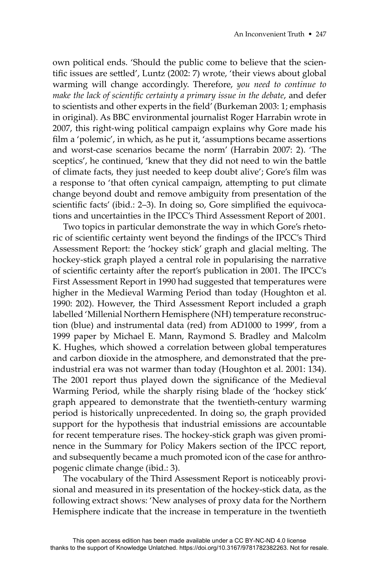own political ends. 'Should the public come to believe that the scientific issues are settled', Luntz (2002: 7) wrote, 'their views about global warming will change accordingly. Therefore, *you need to continue to make the lack of scientific certainty a primary issue in the debate*, and defer to scientists and other experts in the field' (Burkeman 2003: 1; emphasis in original). As BBC environmental journalist Roger Harrabin wrote in 2007, this right-wing political campaign explains why Gore made his film a 'polemic', in which, as he put it, 'assumptions became assertions and worst-case scenarios became the norm' (Harrabin 2007: 2). 'The sceptics', he continued, 'knew that they did not need to win the battle of climate facts, they just needed to keep doubt alive'; Gore's film was a response to 'that often cynical campaign, attempting to put climate change beyond doubt and remove ambiguity from presentation of the scientific facts' (ibid.: 2–3). In doing so, Gore simplified the equivocations and uncertainties in the IPCC's Third Assessment Report of 2001.

Two topics in particular demonstrate the way in which Gore's rhetoric of scientific certainty went beyond the findings of the IPCC's Third Assessment Report: the 'hockey stick' graph and glacial melting. The hockey-stick graph played a central role in popularising the narrative of scientific certainty after the report's publication in 2001. The IPCC's First Assessment Report in 1990 had suggested that temperatures were higher in the Medieval Warming Period than today (Houghton et al. 1990: 202). However, the Third Assessment Report included a graph labelled 'Millenial Northern Hemisphere (NH) temperature reconstruction (blue) and instrumental data (red) from AD1000 to 1999', from a 1999 paper by Michael E. Mann, Raymond S. Bradley and Malcolm K. Hughes, which showed a correlation between global temperatures and carbon dioxide in the atmosphere, and demonstrated that the preindustrial era was not warmer than today (Houghton et al. 2001: 134). The 2001 report thus played down the significance of the Medieval Warming Period, while the sharply rising blade of the 'hockey stick' graph appeared to demonstrate that the twentieth-century warming period is historically unprecedented. In doing so, the graph provided support for the hypothesis that industrial emissions are accountable for recent temperature rises. The hockey-stick graph was given prominence in the Summary for Policy Makers section of the IPCC report, and subsequently became a much promoted icon of the case for anthropogenic climate change (ibid.: 3).

The vocabulary of the Third Assessment Report is noticeably provisional and measured in its presentation of the hockey-stick data, as the following extract shows: 'New analyses of proxy data for the Northern Hemisphere indicate that the increase in temperature in the twentieth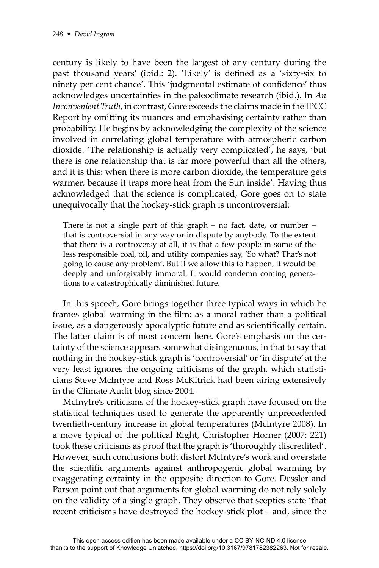century is likely to have been the largest of any century during the past thousand years' (ibid.: 2). 'Likely' is defined as a 'sixty-six to ninety per cent chance'. This 'judgmental estimate of confidence' thus acknowledges uncertainties in the paleoclimate research (ibid.). In *An Inconvenient Truth*, in contrast, Gore exceeds the claims made in the IPCC Report by omitting its nuances and emphasising certainty rather than probability. He begins by acknowledging the complexity of the science involved in correlating global temperature with atmospheric carbon dioxide. 'The relationship is actually very complicated', he says, 'but there is one relationship that is far more powerful than all the others, and it is this: when there is more carbon dioxide, the temperature gets warmer, because it traps more heat from the Sun inside'. Having thus acknowledged that the science is complicated, Gore goes on to state unequivocally that the hockey-stick graph is uncontroversial:

There is not a single part of this graph – no fact, date, or number – that is controversial in any way or in dispute by anybody. To the extent that there is a controversy at all, it is that a few people in some of the less responsible coal, oil, and utility companies say, 'So what? That's not going to cause any problem'. But if we allow this to happen, it would be deeply and unforgivably immoral. It would condemn coming generations to a catastrophically diminished future.

In this speech, Gore brings together three typical ways in which he frames global warming in the film: as a moral rather than a political issue, as a dangerously apocalyptic future and as scientifically certain. The latter claim is of most concern here. Gore's emphasis on the certainty of the science appears somewhat disingenuous, in that to say that nothing in the hockey-stick graph is 'controversial' or 'in dispute' at the very least ignores the ongoing criticisms of the graph, which statisticians Steve McIntyre and Ross McKitrick had been airing extensively in the Climate Audit blog since 2004.

McInytre's criticisms of the hockey-stick graph have focused on the statistical techniques used to generate the apparently unprecedented twentieth-century increase in global temperatures (McIntyre 2008). In a move typical of the political Right, Christopher Horner (2007: 221) took these criticisms as proof that the graph is 'thoroughly discredited'. However, such conclusions both distort McIntyre's work and overstate the scientific arguments against anthropogenic global warming by exaggerating certainty in the opposite direction to Gore. Dessler and Parson point out that arguments for global warming do not rely solely on the validity of a single graph. They observe that sceptics state 'that recent criticisms have destroyed the hockey-stick plot – and, since the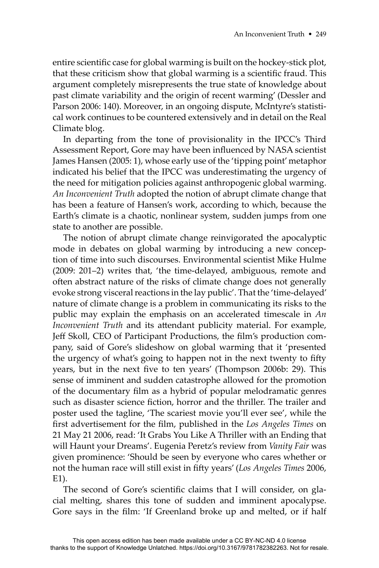entire scientific case for global warming is built on the hockey-stick plot, that these criticism show that global warming is a scientific fraud. This argument completely misrepresents the true state of knowledge about past climate variability and the origin of recent warming' (Dessler and Parson 2006: 140). Moreover, in an ongoing dispute, McIntyre's statistical work continues to be countered extensively and in detail on the Real Climate blog.

In departing from the tone of provisionality in the IPCC's Third Assessment Report, Gore may have been influenced by NASA scientist James Hansen (2005: 1), whose early use of the 'tipping point' metaphor indicated his belief that the IPCC was underestimating the urgency of the need for mitigation policies against anthropogenic global warming. *An Inconvenient Truth* adopted the notion of abrupt climate change that has been a feature of Hansen's work, according to which, because the Earth's climate is a chaotic, nonlinear system, sudden jumps from one state to another are possible.

The notion of abrupt climate change reinvigorated the apocalyptic mode in debates on global warming by introducing a new conception of time into such discourses. Environmental scientist Mike Hulme (2009: 201–2) writes that, 'the time-delayed, ambiguous, remote and often abstract nature of the risks of climate change does not generally evoke strong visceral reactions in the lay public'. That the 'time-delayed' nature of climate change is a problem in communicating its risks to the public may explain the emphasis on an accelerated timescale in *An Inconvenient Truth* and its attendant publicity material. For example, Jeff Skoll, CEO of Participant Productions, the film's production company, said of Gore's slideshow on global warming that it 'presented the urgency of what's going to happen not in the next twenty to fifty years, but in the next five to ten years' (Thompson 2006b: 29). This sense of imminent and sudden catastrophe allowed for the promotion of the documentary film as a hybrid of popular melodramatic genres such as disaster science fiction, horror and the thriller. The trailer and poster used the tagline, 'The scariest movie you'll ever see', while the first advertisement for the film, published in the *Los Angeles Times* on 21 May 21 2006, read: 'It Grabs You Like A Thriller with an Ending that will Haunt your Dreams'. Eugenia Peretz's review from *Vanity Fair* was given prominence: 'Should be seen by everyone who cares whether or not the human race will still exist in fifty years' (*Los Angeles Times* 2006, E1).

The second of Gore's scientific claims that I will consider, on glacial melting, shares this tone of sudden and imminent apocalypse. Gore says in the film: 'If Greenland broke up and melted, or if half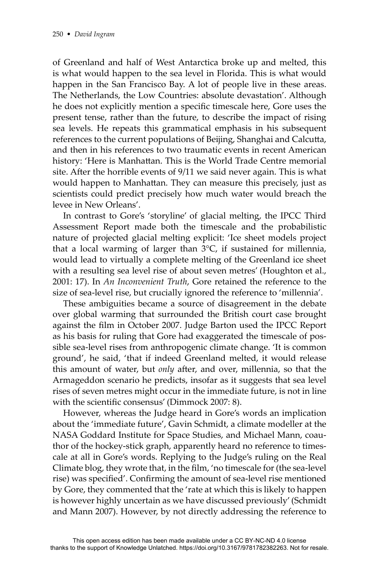of Greenland and half of West Antarctica broke up and melted, this is what would happen to the sea level in Florida. This is what would happen in the San Francisco Bay. A lot of people live in these areas. The Netherlands, the Low Countries: absolute devastation'. Although he does not explicitly mention a specific timescale here, Gore uses the present tense, rather than the future, to describe the impact of rising sea levels. He repeats this grammatical emphasis in his subsequent references to the current populations of Beijing, Shanghai and Calcutta, and then in his references to two traumatic events in recent American history: 'Here is Manhattan. This is the World Trade Centre memorial site. After the horrible events of 9/11 we said never again. This is what would happen to Manhattan. They can measure this precisely, just as scientists could predict precisely how much water would breach the levee in New Orleans'.

In contrast to Gore's 'storyline' of glacial melting, the IPCC Third Assessment Report made both the timescale and the probabilistic nature of projected glacial melting explicit: 'Ice sheet models project that a local warming of larger than 3°C, if sustained for millennia, would lead to virtually a complete melting of the Greenland ice sheet with a resulting sea level rise of about seven metres' (Houghton et al., 2001: 17). In *An Inconvenient Truth*, Gore retained the reference to the size of sea-level rise, but crucially ignored the reference to 'millennia'.

These ambiguities became a source of disagreement in the debate over global warming that surrounded the British court case brought against the film in October 2007. Judge Barton used the IPCC Report as his basis for ruling that Gore had exaggerated the timescale of possible sea-level rises from anthropogenic climate change. 'It is common ground', he said, 'that if indeed Greenland melted, it would release this amount of water, but *only* after, and over, millennia, so that the Armageddon scenario he predicts, insofar as it suggests that sea level rises of seven metres might occur in the immediate future, is not in line with the scientific consensus' (Dimmock 2007: 8).

However, whereas the Judge heard in Gore's words an implication about the 'immediate future', Gavin Schmidt, a climate modeller at the NASA Goddard Institute for Space Studies, and Michael Mann, coauthor of the hockey-stick graph, apparently heard no reference to timescale at all in Gore's words. Replying to the Judge's ruling on the Real Climate blog, they wrote that, in the film, 'no timescale for (the sea-level rise) was specified'. Confirming the amount of sea-level rise mentioned by Gore, they commented that the 'rate at which this is likely to happen is however highly uncertain as we have discussed previously' (Schmidt and Mann 2007). However, by not directly addressing the reference to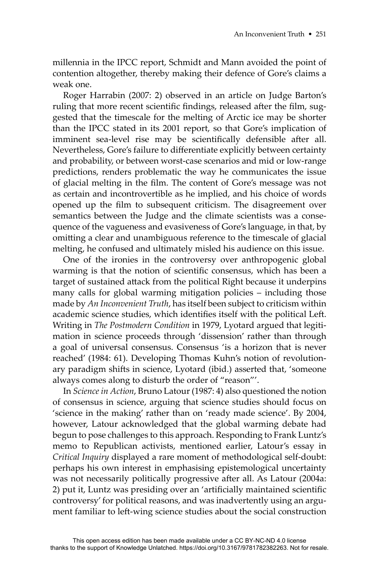millennia in the IPCC report, Schmidt and Mann avoided the point of contention altogether, thereby making their defence of Gore's claims a weak one.

Roger Harrabin (2007: 2) observed in an article on Judge Barton's ruling that more recent scientific findings, released after the film, suggested that the timescale for the melting of Arctic ice may be shorter than the IPCC stated in its 2001 report, so that Gore's implication of imminent sea-level rise may be scientifically defensible after all. Nevertheless, Gore's failure to differentiate explicitly between certainty and probability, or between worst-case scenarios and mid or low-range predictions, renders problematic the way he communicates the issue of glacial melting in the film. The content of Gore's message was not as certain and incontrovertible as he implied, and his choice of words opened up the film to subsequent criticism. The disagreement over semantics between the Judge and the climate scientists was a consequence of the vagueness and evasiveness of Gore's language, in that, by omitting a clear and unambiguous reference to the timescale of glacial melting, he confused and ultimately misled his audience on this issue.

One of the ironies in the controversy over anthropogenic global warming is that the notion of scientific consensus, which has been a target of sustained attack from the political Right because it underpins many calls for global warming mitigation policies – including those made by *An Inconvenient Truth*, has itself been subject to criticism within academic science studies, which identifies itself with the political Left. Writing in *The Postmodern Condition* in 1979, Lyotard argued that legitimation in science proceeds through 'dissension' rather than through a goal of universal consensus. Consensus 'is a horizon that is never reached' (1984: 61). Developing Thomas Kuhn's notion of revolutionary paradigm shifts in science, Lyotard (ibid.) asserted that, 'someone always comes along to disturb the order of "reason"'.

In *Science in Action*, Bruno Latour (1987: 4) also questioned the notion of consensus in science, arguing that science studies should focus on 'science in the making' rather than on 'ready made science'. By 2004, however, Latour acknowledged that the global warming debate had begun to pose challenges to this approach. Responding to Frank Luntz's memo to Republican activists, mentioned earlier, Latour's essay in *Critical Inquiry* displayed a rare moment of methodological self-doubt: perhaps his own interest in emphasising epistemological uncertainty was not necessarily politically progressive after all. As Latour (2004a: 2) put it, Luntz was presiding over an 'artificially maintained scientific controversy' for political reasons, and was inadvertently using an argument familiar to left-wing science studies about the social construction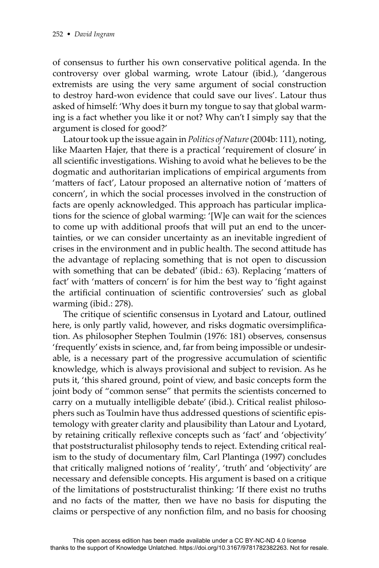of consensus to further his own conservative political agenda. In the controversy over global warming, wrote Latour (ibid.), 'dangerous extremists are using the very same argument of social construction to destroy hard-won evidence that could save our lives'. Latour thus asked of himself: 'Why does it burn my tongue to say that global warming is a fact whether you like it or not? Why can't I simply say that the argument is closed for good?'

Latour took up the issue again in *Politics of Nature* (2004b: 111), noting, like Maarten Hajer, that there is a practical 'requirement of closure' in all scientific investigations. Wishing to avoid what he believes to be the dogmatic and authoritarian implications of empirical arguments from 'matters of fact', Latour proposed an alternative notion of 'matters of concern', in which the social processes involved in the construction of facts are openly acknowledged. This approach has particular implications for the science of global warming: '[W]e can wait for the sciences to come up with additional proofs that will put an end to the uncertainties, or we can consider uncertainty as an inevitable ingredient of crises in the environment and in public health. The second attitude has the advantage of replacing something that is not open to discussion with something that can be debated' (ibid.: 63). Replacing 'matters of fact' with 'matters of concern' is for him the best way to 'fight against the artificial continuation of scientific controversies' such as global warming (ibid.: 278).

The critique of scientific consensus in Lyotard and Latour, outlined here, is only partly valid, however, and risks dogmatic oversimplification. As philosopher Stephen Toulmin (1976: 181) observes, consensus 'frequently' exists in science, and, far from being impossible or undesirable, is a necessary part of the progressive accumulation of scientific knowledge, which is always provisional and subject to revision. As he puts it, 'this shared ground, point of view, and basic concepts form the joint body of "common sense" that permits the scientists concerned to carry on a mutually intelligible debate' (ibid.). Critical realist philosophers such as Toulmin have thus addressed questions of scientific epistemology with greater clarity and plausibility than Latour and Lyotard, by retaining critically reflexive concepts such as 'fact' and 'objectivity' that poststructuralist philosophy tends to reject. Extending critical realism to the study of documentary film, Carl Plantinga (1997) concludes that critically maligned notions of 'reality', 'truth' and 'objectivity' are necessary and defensible concepts. His argument is based on a critique of the limitations of poststructuralist thinking: 'If there exist no truths and no facts of the matter, then we have no basis for disputing the claims or perspective of any nonfiction film, and no basis for choosing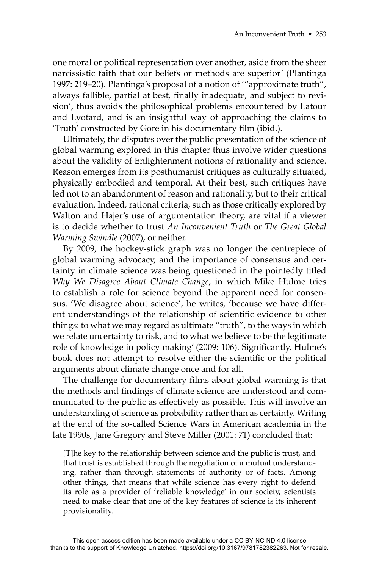one moral or political representation over another, aside from the sheer narcissistic faith that our beliefs or methods are superior' (Plantinga 1997: 219–20). Plantinga's proposal of a notion of '"approximate truth", always fallible, partial at best, finally inadequate, and subject to revision', thus avoids the philosophical problems encountered by Latour and Lyotard, and is an insightful way of approaching the claims to 'Truth' constructed by Gore in his documentary film (ibid.).

Ultimately, the disputes over the public presentation of the science of global warming explored in this chapter thus involve wider questions about the validity of Enlightenment notions of rationality and science. Reason emerges from its posthumanist critiques as culturally situated, physically embodied and temporal. At their best, such critiques have led not to an abandonment of reason and rationality, but to their critical evaluation. Indeed, rational criteria, such as those critically explored by Walton and Hajer's use of argumentation theory, are vital if a viewer is to decide whether to trust *An Inconvenient Truth* or *The Great Global Warming Swindle* (2007), or neither.

By 2009, the hockey-stick graph was no longer the centrepiece of global warming advocacy, and the importance of consensus and certainty in climate science was being questioned in the pointedly titled *Why We Disagree About Climate Change*, in which Mike Hulme tries to establish a role for science beyond the apparent need for consensus. 'We disagree about science', he writes, 'because we have different understandings of the relationship of scientific evidence to other things: to what we may regard as ultimate "truth", to the ways in which we relate uncertainty to risk, and to what we believe to be the legitimate role of knowledge in policy making' (2009: 106). Significantly, Hulme's book does not attempt to resolve either the scientific or the political arguments about climate change once and for all.

The challenge for documentary films about global warming is that the methods and findings of climate science are understood and communicated to the public as effectively as possible. This will involve an understanding of science as probability rather than as certainty. Writing at the end of the so-called Science Wars in American academia in the late 1990s, Jane Gregory and Steve Miller (2001: 71) concluded that:

[T]he key to the relationship between science and the public is trust, and that trust is established through the negotiation of a mutual understanding, rather than through statements of authority or of facts. Among other things, that means that while science has every right to defend its role as a provider of 'reliable knowledge' in our society, scientists need to make clear that one of the key features of science is its inherent provisionality.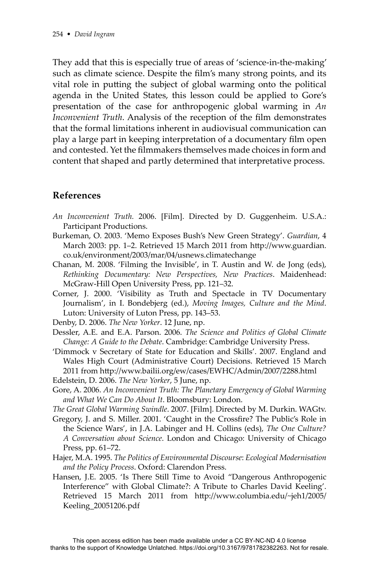They add that this is especially true of areas of 'science-in-the-making' such as climate science. Despite the film's many strong points, and its vital role in putting the subject of global warming onto the political agenda in the United States, this lesson could be applied to Gore's presentation of the case for anthropogenic global warming in *An Inconvenient Truth*. Analysis of the reception of the film demonstrates that the formal limitations inherent in audiovisual communication can play a large part in keeping interpretation of a documentary film open and contested. Yet the filmmakers themselves made choices in form and content that shaped and partly determined that interpretative process.

## **References**

- *An Inconvenient Truth.* 2006. [Film]. Directed by D. Guggenheim. U.S.A.: Participant Productions.
- Burkeman, O. 2003. 'Memo Exposes Bush's New Green Strategy'. *Guardian*, 4 March 2003: pp. 1–2. Retrieved 15 March 2011 from http://www.guardian. co.uk/environment/2003/mar/04/usnews.climatechange
- Chanan, M. 2008. 'Filming the Invisible', in T. Austin and W. de Jong (eds), *Rethinking Documentary: New Perspectives, New Practices*. Maidenhead: McGraw-Hill Open University Press, pp. 121–32.
- Corner, J. 2000. 'Visibility as Truth and Spectacle in TV Documentary Journalism', in I. Bondebjerg (ed.), *Moving Images, Culture and the Mind*. Luton: University of Luton Press, pp. 143–53.
- Denby, D. 2006. *The New Yorker*. 12 June, np.
- Dessler, A.E. and E.A. Parson. 2006. *The Science and Politics of Global Climate Change: A Guide to the Debate*. Cambridge: Cambridge University Press.
- 'Dimmock v Secretary of State for Education and Skills'. 2007. England and Wales High Court (Administrative Court) Decisions. Retrieved 15 March 2011 from http://www.bailii.org/ew/cases/EWHC/Admin/2007/2288.html
- Edelstein, D. 2006. *The New Yorker*, 5 June, np.
- Gore, A. 2006. *An Inconvenient Truth: The Planetary Emergency of Global Warming and What We Can Do About It*. Bloomsbury: London.
- *The Great Global Warming Swindle*. 2007. [Film]. Directed by M. Durkin. WAGtv.
- Gregory, J. and S. Miller. 2001. 'Caught in the Crossfire? The Public's Role in the Science Wars', in J.A. Labinger and H. Collins (eds), *The One Culture? A Conversation about Science*. London and Chicago: University of Chicago Press, pp. 61–72.
- Hajer, M.A. 1995. *The Politics of Environmental Discourse*: *Ecological Modernisation and the Policy Process*. Oxford: Clarendon Press.
- Hansen, J.E. 2005. 'Is There Still Time to Avoid "Dangerous Anthropogenic Interference" with Global Climate?: A Tribute to Charles David Keeling'. Retrieved 15 March 2011 from http://www.columbia.edu/~jeh1/2005/ Keeling\_20051206.pdf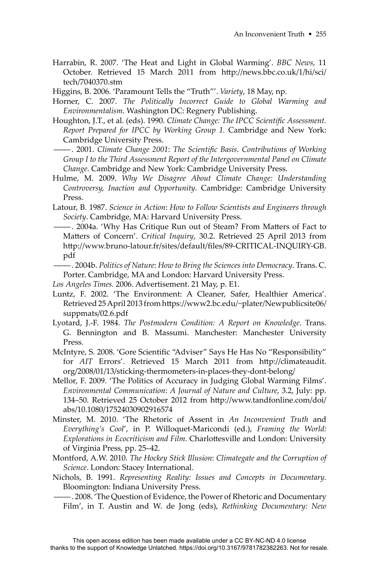Harrabin, R. 2007. 'The Heat and Light in Global Warming'. *BBC News*, 11 October. Retrieved 15 March 2011 from http://news.bbc.co.uk/1/hi/sci/ tech/7040370.stm

Higgins, B. 2006. 'Paramount Tells the "Truth"'. *Variety*, 18 May, np.

- Horner, C. 2007. *The Politically Incorrect Guide to Global Warming and Environmentalism*. Washington DC: Regnery Publishing.
- Houghton, J.T., et al. (eds). 1990. *Climate Change: The IPCC Scientific Assessment. Report Prepared for IPCC by Working Group 1.* Cambridge and New York: Cambridge University Press.
- ———. 2001. *Climate Change 2001*: *The Scientific Basis*. *Contributions of Working Group I to the Third Assessment Report of the Intergovernmental Panel on Climate Change*. Cambridge and New York: Cambridge University Press.
- Hulme, M. 2009. *Why We Disagree About Climate Change: Understanding Controversy, Inaction and Opportunity*. Cambridge: Cambridge University Press.
- Latour, B. 1987. *Science in Action*: *How to Follow Scientists and Engineers through Society*. Cambridge, MA: Harvard University Press.
- ———. 2004a. 'Why Has Critique Run out of Steam? From Matters of Fact to Matters of Concern'. *Critical Inquiry*, 30.2. Retrieved 25 April 2013 from http://www.bruno-latour.fr/sites/default/files/89-CRITICAL-INQUIRY-GB. pdf
- ———. 2004b. *Politics of Nature*: *How to Bring the Sciences into Democracy*. Trans. C. Porter. Cambridge, MA and London: Harvard University Press.
- *Los Angeles Times.* 2006. Advertisement. 21 May, p. E1.
- Luntz, F. 2002. 'The Environment: A Cleaner, Safer, Healthier America'. Retrieved 25 April 2013 from https://www2.bc.edu/~plater/Newpublicsite06/ suppmats/02.6.pdf
- Lyotard, J.-F. 1984. *The Postmodern Condition: A Report on Knowledge*. Trans. G. Bennington and B. Massumi. Manchester: Manchester University Press.
- McIntyre, S. 2008. 'Gore Scientific "Adviser" Says He Has No "Responsibility" for *AIT* Errors'. Retrieved 15 March 2011 from http://climateaudit. org/2008/01/13/sticking-thermometers-in-places-they-dont-belong/
- Mellor, F. 2009. 'The Politics of Accuracy in Judging Global Warming Films'. *Environmental Communication*: *A Journal of Nature and Culture*, 3.2, July: pp. 134–50. Retrieved 25 October 2012 from http://www.tandfonline.com/doi/ abs/10.1080/17524030902916574
- Minster, M. 2010. 'The Rhetoric of Assent in *An Inconvenient Truth* and *Everything's Cool*', in P. Willoquet-Maricondi (ed.), *Framing the World: Explorations in Ecocriticism and Film*. Charlottesville and London: University of Virginia Press, pp. 25–42.
- Montford, A.W. 2010. *The Hockey Stick Illusion*: *Climategate and the Corruption of Science*. London: Stacey International.
- Nichols, B. 1991. *Representing Reality: Issues and Concepts in Documentary*. Bloomington: Indiana University Press.
	- ———. 2008. 'The Question of Evidence, the Power of Rhetoric and Documentary Film', in T. Austin and W. de Jong (eds), *Rethinking Documentary: New*